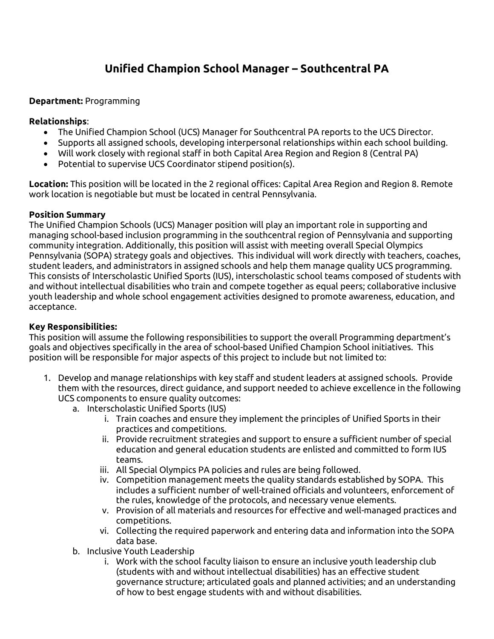# **Unified Champion School Manager – Southcentral PA**

#### **Department:** Programming

#### **Relationships**:

- The Unified Champion School (UCS) Manager for Southcentral PA reports to the UCS Director.
- Supports all assigned schools, developing interpersonal relationships within each school building.
- Will work closely with regional staff in both Capital Area Region and Region 8 (Central PA)
- Potential to supervise UCS Coordinator stipend position(s).

**Location:** This position will be located in the 2 regional offices: Capital Area Region and Region 8. Remote work location is negotiable but must be located in central Pennsylvania.

#### **Position Summary**

The Unified Champion Schools (UCS) Manager position will play an important role in supporting and managing school-based inclusion programming in the southcentral region of Pennsylvania and supporting community integration. Additionally, this position will assist with meeting overall Special Olympics Pennsylvania (SOPA) strategy goals and objectives. This individual will work directly with teachers, coaches, student leaders, and administrators in assigned schools and help them manage quality UCS programming. This consists of Interscholastic Unified Sports (IUS), interscholastic school teams composed of students with and without intellectual disabilities who train and compete together as equal peers; collaborative inclusive youth leadership and whole school engagement activities designed to promote awareness, education, and acceptance.

#### **Key Responsibilities:**

This position will assume the following responsibilities to support the overall Programming department's goals and objectives specifically in the area of school-based Unified Champion School initiatives. This position will be responsible for major aspects of this project to include but not limited to:

- 1. Develop and manage relationships with key staff and student leaders at assigned schools. Provide them with the resources, direct guidance, and support needed to achieve excellence in the following UCS components to ensure quality outcomes:
	- a. Interscholastic Unified Sports (IUS)
		- i. Train coaches and ensure they implement the principles of Unified Sports in their practices and competitions.
		- ii. Provide recruitment strategies and support to ensure a sufficient number of special education and general education students are enlisted and committed to form IUS teams.
		- iii. All Special Olympics PA policies and rules are being followed.
		- iv. Competition management meets the quality standards established by SOPA. This includes a sufficient number of well-trained officials and volunteers, enforcement of the rules, knowledge of the protocols, and necessary venue elements.
		- v. Provision of all materials and resources for effective and well-managed practices and competitions.
		- vi. Collecting the required paperwork and entering data and information into the SOPA data base.
	- b. Inclusive Youth Leadership
		- i. Work with the school faculty liaison to ensure an inclusive youth leadership club (students with and without intellectual disabilities) has an effective student governance structure; articulated goals and planned activities; and an understanding of how to best engage students with and without disabilities.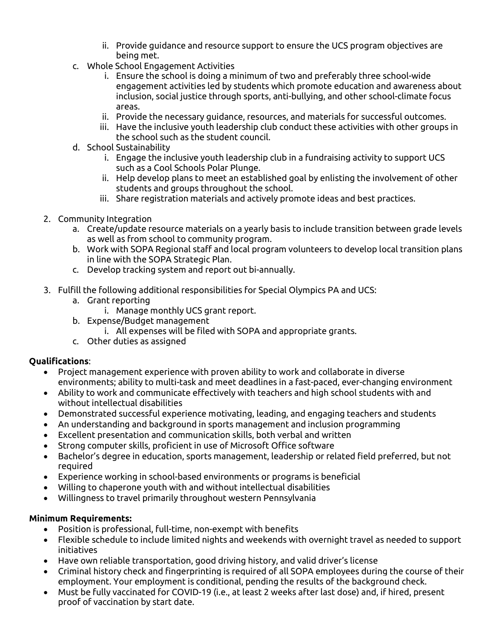- ii. Provide guidance and resource support to ensure the UCS program objectives are being met.
- c. Whole School Engagement Activities
	- i. Ensure the school is doing a minimum of two and preferably three school-wide engagement activities led by students which promote education and awareness about inclusion, social justice through sports, anti-bullying, and other school-climate focus areas.
	- ii. Provide the necessary guidance, resources, and materials for successful outcomes.
	- iii. Have the inclusive youth leadership club conduct these activities with other groups in the school such as the student council.
- d. School Sustainability
	- i. Engage the inclusive youth leadership club in a fundraising activity to support UCS such as a Cool Schools Polar Plunge.
	- ii. Help develop plans to meet an established goal by enlisting the involvement of other students and groups throughout the school.
	- iii. Share registration materials and actively promote ideas and best practices.
- 2. Community Integration
	- a. Create/update resource materials on a yearly basis to include transition between grade levels as well as from school to community program.
	- b. Work with SOPA Regional staff and local program volunteers to develop local transition plans in line with the SOPA Strategic Plan.
	- c. Develop tracking system and report out bi-annually.
- 3. Fulfill the following additional responsibilities for Special Olympics PA and UCS:
	- a. Grant reporting
		- i. Manage monthly UCS grant report.
	- b. Expense/Budget management
		- i. All expenses will be filed with SOPA and appropriate grants.
	- c. Other duties as assigned

## **Qualifications**:

- Project management experience with proven ability to work and collaborate in diverse environments; ability to multi-task and meet deadlines in a fast-paced, ever-changing environment
- Ability to work and communicate effectively with teachers and high school students with and without intellectual disabilities
- Demonstrated successful experience motivating, leading, and engaging teachers and students
- An understanding and background in sports management and inclusion programming
- Excellent presentation and communication skills, both verbal and written
- Strong computer skills, proficient in use of Microsoft Office software
- Bachelor's degree in education, sports management, leadership or related field preferred, but not required
- Experience working in school-based environments or programs is beneficial
- Willing to chaperone youth with and without intellectual disabilities
- Willingness to travel primarily throughout western Pennsylvania

### **Minimum Requirements:**

- Position is professional, full-time, non-exempt with benefits
- Flexible schedule to include limited nights and weekends with overnight travel as needed to support initiatives
- Have own reliable transportation, good driving history, and valid driver's license
- Criminal history check and fingerprinting is required of all SOPA employees during the course of their employment. Your employment is conditional, pending the results of the background check.
- Must be fully vaccinated for COVID-19 (i.e., at least 2 weeks after last dose) and, if hired, present proof of vaccination by start date.